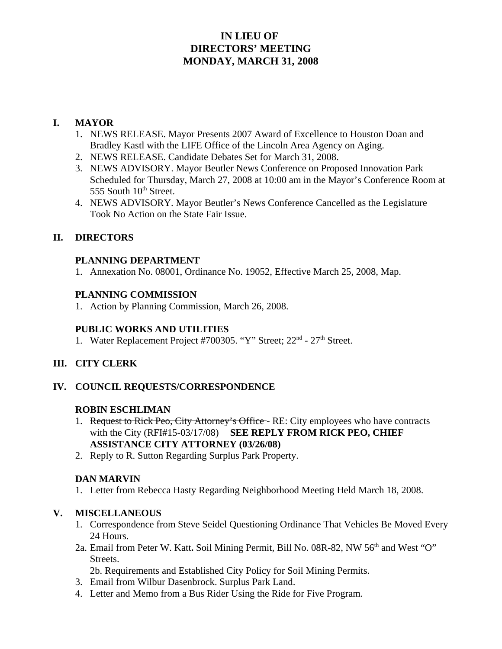## **IN LIEU OF DIRECTORS' MEETING MONDAY, MARCH 31, 2008**

#### **I. MAYOR**

- 1. NEWS RELEASE. Mayor Presents 2007 Award of Excellence to Houston Doan and Bradley Kastl with the LIFE Office of the Lincoln Area Agency on Aging.
- 2. NEWS RELEASE. Candidate Debates Set for March 31, 2008.
- 3. NEWS ADVISORY. Mayor Beutler News Conference on Proposed Innovation Park Scheduled for Thursday, March 27, 2008 at 10:00 am in the Mayor's Conference Room at 555 South  $10<sup>th</sup>$  Street.
- 4. NEWS ADVISORY. Mayor Beutler's News Conference Cancelled as the Legislature Took No Action on the State Fair Issue.

### **II. DIRECTORS**

#### **PLANNING DEPARTMENT**

1. Annexation No. 08001, Ordinance No. 19052, Effective March 25, 2008, Map.

#### **PLANNING COMMISSION**

1. Action by Planning Commission, March 26, 2008.

#### **PUBLIC WORKS AND UTILITIES**

1. Water Replacement Project #700305. "Y" Street; 22<sup>nd</sup> - 27<sup>th</sup> Street.

#### **III. CITY CLERK**

#### **IV. COUNCIL REQUESTS/CORRESPONDENCE**

#### **ROBIN ESCHLIMAN**

- 1. Request to Rick Peo, City Attorney's Office RE: City employees who have contracts with the City (RFI#15-03/17/08) **SEE REPLY FROM RICK PEO, CHIEF ASSISTANCE CITY ATTORNEY (03/26/08)**
- 2. Reply to R. Sutton Regarding Surplus Park Property.

#### **DAN MARVIN**

1. Letter from Rebecca Hasty Regarding Neighborhood Meeting Held March 18, 2008.

#### **V. MISCELLANEOUS**

- 1. Correspondence from Steve Seidel Questioning Ordinance That Vehicles Be Moved Every 24 Hours.
- 2a. Email from Peter W. Katt**.** Soil Mining Permit, Bill No. 08R-82, NW 56th and West "O" Streets.

2b. Requirements and Established City Policy for Soil Mining Permits.

- 3. Email from Wilbur Dasenbrock. Surplus Park Land.
- 4. Letter and Memo from a Bus Rider Using the Ride for Five Program.